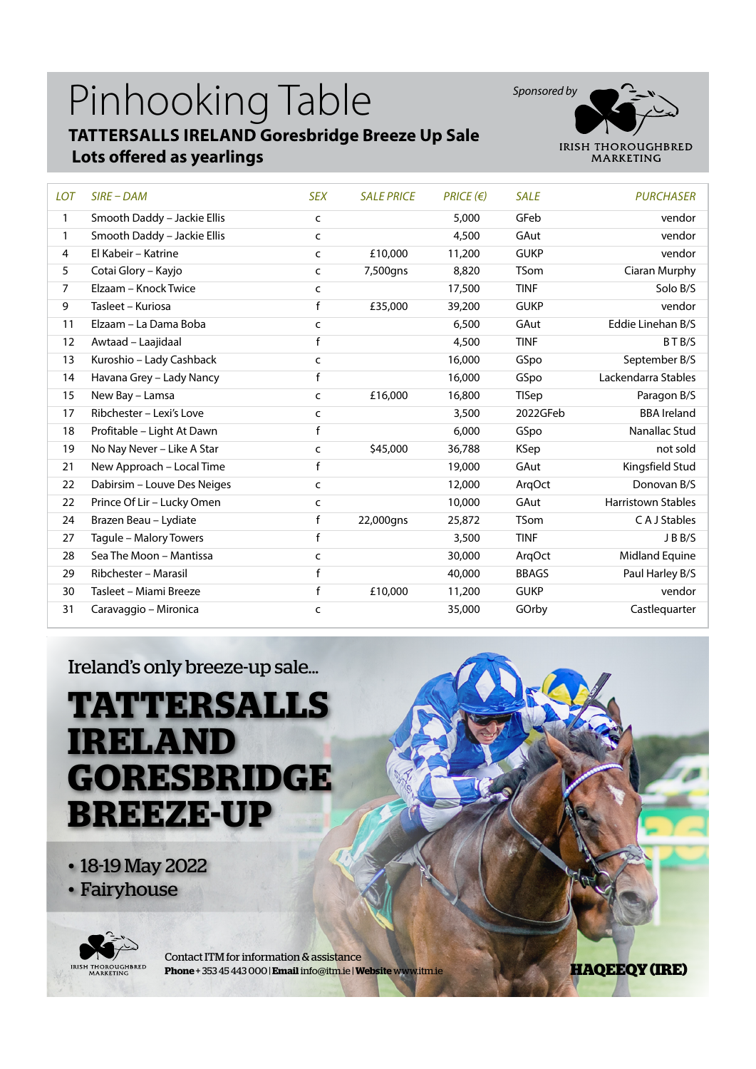#### Pinhooking Table **TATTERSALLS IRELAND Goresbridge Breeze Up Sale Lots offered as yearlings**



| <b>LOT</b>     | $SIRE$ – DAM                | <b>SEX</b> | <b>SALE PRICE</b> | $PRICE$ ( $\varepsilon$ ) | <b>SALE</b>  | <b>PURCHASER</b>          |
|----------------|-----------------------------|------------|-------------------|---------------------------|--------------|---------------------------|
| 1              | Smooth Daddy - Jackie Ellis | C          |                   | 5,000                     | GFeb         | vendor                    |
| 1              | Smooth Daddy - Jackie Ellis | c          |                   | 4,500                     | GAut         | vendor                    |
| 4              | El Kabeir - Katrine         | C          | £10,000           | 11,200                    | <b>GUKP</b>  | vendor                    |
| 5              | Cotai Glory - Kayjo         | C          | 7,500gns          | 8,820                     | <b>TSom</b>  | Ciaran Murphy             |
| $\overline{7}$ | Elzaam - Knock Twice        | C          |                   | 17,500                    | <b>TINF</b>  | Solo B/S                  |
| 9              | Tasleet - Kuriosa           | f          | £35,000           | 39,200                    | <b>GUKP</b>  | vendor                    |
| 11             | Elzaam - La Dama Boba       | c          |                   | 6,500                     | GAut         | Eddie Linehan B/S         |
| 12             | Awtaad - Laajidaal          | f          |                   | 4,500                     | <b>TINF</b>  | BTB/S                     |
| 13             | Kuroshio - Lady Cashback    | C          |                   | 16,000                    | GSpo         | September B/S             |
| 14             | Havana Grey - Lady Nancy    | f          |                   | 16,000                    | GSpo         | Lackendarra Stables       |
| 15             | New Bay - Lamsa             | C          | £16,000           | 16,800                    | <b>TISep</b> | Paragon B/S               |
| 17             | Ribchester - Lexi's Love    | C          |                   | 3,500                     | 2022GFeb     | <b>BBA</b> Ireland        |
| 18             | Profitable - Light At Dawn  | f          |                   | 6,000                     | GSpo         | Nanallac Stud             |
| 19             | No Nay Never - Like A Star  | C          | \$45,000          | 36,788                    | <b>KSep</b>  | not sold                  |
| 21             | New Approach - Local Time   | f          |                   | 19,000                    | GAut         | Kingsfield Stud           |
| 22             | Dabirsim - Louve Des Neiges | C          |                   | 12,000                    | ArgOct       | Donovan B/S               |
| 22             | Prince Of Lir - Lucky Omen  | C          |                   | 10,000                    | GAut         | <b>Harristown Stables</b> |
| 24             | Brazen Beau - Lydiate       | f          | 22,000gns         | 25,872                    | <b>TSom</b>  | C A J Stables             |
| 27             | Tagule - Malory Towers      | f          |                   | 3,500                     | <b>TINF</b>  | JBB/S                     |
| 28             | Sea The Moon - Mantissa     | c          |                   | 30,000                    | ArqOct       | Midland Equine            |
| 29             | Ribchester - Marasil        | f          |                   | 40,000                    | <b>BBAGS</b> | Paul Harley B/S           |
| 30             | Tasleet - Miami Breeze      | f          | £10,000           | 11,200                    | <b>GUKP</b>  | vendor                    |
| 31             | Caravaggio - Mironica       | c          |                   | 35,000                    | GOrby        | Castlequarter             |

Ireland's only breeze-up sale...

# **TATTERSALLS IRELAND GORESBRIDGE BREEZE-UP**

• 18-19 May 2022 • Fairyhouse



Contact ITM for information & assistance **Phone** + 353 45 443 000 | **Email** info@itm.ie | **Website** www.itm.ie

**HAQEEQY (IRE)**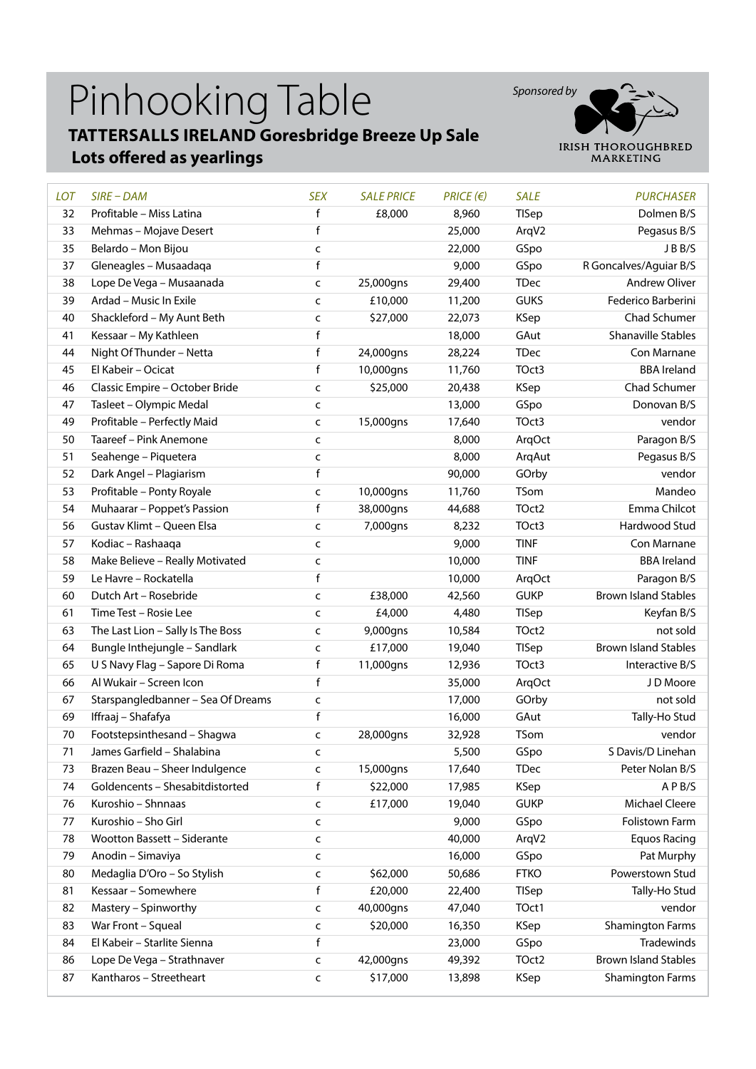## Pinhooking Table **TATTERSALLS IRELAND Goresbridge Breeze Up Sale**





| <b>LOT</b> | $SIRE$ – $DAM$                     | <b>SEX</b>  | <b>SALE PRICE</b> | $PRICE$ ( $\in$ ) | <b>SALE</b>  | <b>PURCHASER</b>            |
|------------|------------------------------------|-------------|-------------------|-------------------|--------------|-----------------------------|
| 32         | Profitable - Miss Latina           | f           | £8,000            | 8,960             | <b>TISep</b> | Dolmen B/S                  |
| 33         | Mehmas - Mojave Desert             | f           |                   | 25,000            | ArqV2        | Pegasus B/S                 |
| 35         | Belardo - Mon Bijou                | C           |                   | 22,000            | GSpo         | JBB/S                       |
| 37         | Gleneagles - Musaadaga             | f           |                   | 9,000             | GSpo         | R Goncalves/Aguiar B/S      |
| 38         | Lope De Vega - Musaanada           | C           | 25,000gns         | 29,400            | <b>TDec</b>  | <b>Andrew Oliver</b>        |
| 39         | Ardad - Music In Exile             | C           | £10,000           | 11,200            | <b>GUKS</b>  | Federico Barberini          |
| 40         | Shackleford - My Aunt Beth         | C           | \$27,000          | 22,073            | <b>KSep</b>  | Chad Schumer                |
| 41         | Kessaar - My Kathleen              | f           |                   | 18,000            | GAut         | <b>Shanaville Stables</b>   |
| 44         | Night Of Thunder - Netta           | f           | 24,000gns         | 28,224            | <b>TDec</b>  | Con Marnane                 |
| 45         | El Kabeir - Ocicat                 | f           | 10,000gns         | 11,760            | TOct3        | <b>BBA</b> Ireland          |
| 46         | Classic Empire - October Bride     | C           | \$25,000          | 20,438            | KSep         | Chad Schumer                |
| 47         | Tasleet - Olympic Medal            | C           |                   | 13,000            | GSpo         | Donovan B/S                 |
| 49         | Profitable - Perfectly Maid        | C           | 15,000gns         | 17,640            | TOct3        | vendor                      |
| 50         | Taareef - Pink Anemone             | C           |                   | 8,000             | ArqOct       | Paragon B/S                 |
| 51         | Seahenge - Piquetera               | C           |                   | 8,000             | ArqAut       | Pegasus B/S                 |
| 52         | Dark Angel - Plagiarism            | f           |                   | 90,000            | GOrby        | vendor                      |
| 53         | Profitable - Ponty Royale          | C           | 10,000gns         | 11,760            | TSom         | Mandeo                      |
| 54         | Muhaarar - Poppet's Passion        | f           | 38,000gns         | 44,688            | TOct2        | Emma Chilcot                |
| 56         | Gustav Klimt - Queen Elsa          | C           | 7,000gns          | 8,232             | TOct3        | Hardwood Stud               |
| 57         | Kodiac - Rashaaqa                  | c           |                   | 9,000             | <b>TINF</b>  | Con Marnane                 |
| 58         | Make Believe - Really Motivated    | C           |                   | 10,000            | <b>TINF</b>  | <b>BBA</b> Ireland          |
| 59         | Le Havre - Rockatella              | f           |                   | 10,000            | ArqOct       | Paragon B/S                 |
| 60         | Dutch Art - Rosebride              | C           | £38,000           | 42,560            | <b>GUKP</b>  | <b>Brown Island Stables</b> |
| 61         | Time Test - Rosie Lee              | C           | £4,000            | 4,480             | TISep        | Keyfan B/S                  |
| 63         | The Last Lion - Sally Is The Boss  | C           | 9,000gns          | 10,584            | TOct2        | not sold                    |
| 64         | Bungle Inthejungle - Sandlark      | C           | £17,000           | 19,040            | TISep        | <b>Brown Island Stables</b> |
| 65         | U S Navy Flag - Sapore Di Roma     | f           | 11,000gns         | 12,936            | TOct3        | Interactive B/S             |
| 66         | Al Wukair - Screen Icon            | f           |                   | 35,000            | ArqOct       | J D Moore                   |
| 67         | Starspangledbanner - Sea Of Dreams | c           |                   | 17,000            | GOrby        | not sold                    |
| 69         | Iffraaj - Shafafya                 | f           |                   | 16,000            | GAut         | Tally-Ho Stud               |
| 70         | Footstepsinthesand - Shagwa        | c           | 28,000gns         | 32,928            | TSom         | vendor                      |
| 71         | James Garfield - Shalabina         | c           |                   | 5,500             | GSpo         | S Davis/D Linehan           |
| 73         | Brazen Beau - Sheer Indulgence     | C           | 15,000gns         | 17,640            | <b>TDec</b>  | Peter Nolan B/S             |
| 74         | Goldencents - Shesabitdistorted    | f           | \$22,000          | 17,985            | KSep         | APB/S                       |
| 76         | Kuroshio - Shnnaas                 | c           | £17,000           | 19,040            | <b>GUKP</b>  | <b>Michael Cleere</b>       |
| 77         | Kuroshio - Sho Girl                | C           |                   | 9,000             | GSpo         | Folistown Farm              |
| 78         | <b>Wootton Bassett - Siderante</b> | c           |                   | 40,000            | ArqV2        | <b>Equos Racing</b>         |
| 79         | Anodin - Simaviya                  | c           |                   | 16,000            | GSpo         | Pat Murphy                  |
| 80         | Medaglia D'Oro - So Stylish        | c           | \$62,000          | 50,686            | <b>FTKO</b>  | Powerstown Stud             |
| 81         | Kessaar - Somewhere                | $\mathsf f$ | £20,000           | 22,400            | TISep        | Tally-Ho Stud               |
| 82         | Mastery - Spinworthy               | C           | 40,000gns         | 47,040            | TOct1        | vendor                      |
| 83         | War Front - Squeal                 | C           | \$20,000          | 16,350            | KSep         | <b>Shamington Farms</b>     |
| 84         | El Kabeir - Starlite Sienna        | f           |                   | 23,000            | GSpo         | Tradewinds                  |
| 86         | Lope De Vega - Strathnaver         | C           | 42,000gns         | 49,392            | TOct2        | <b>Brown Island Stables</b> |
| 87         | Kantharos - Streetheart            | C           | \$17,000          | 13,898            | KSep         | <b>Shamington Farms</b>     |
|            |                                    |             |                   |                   |              |                             |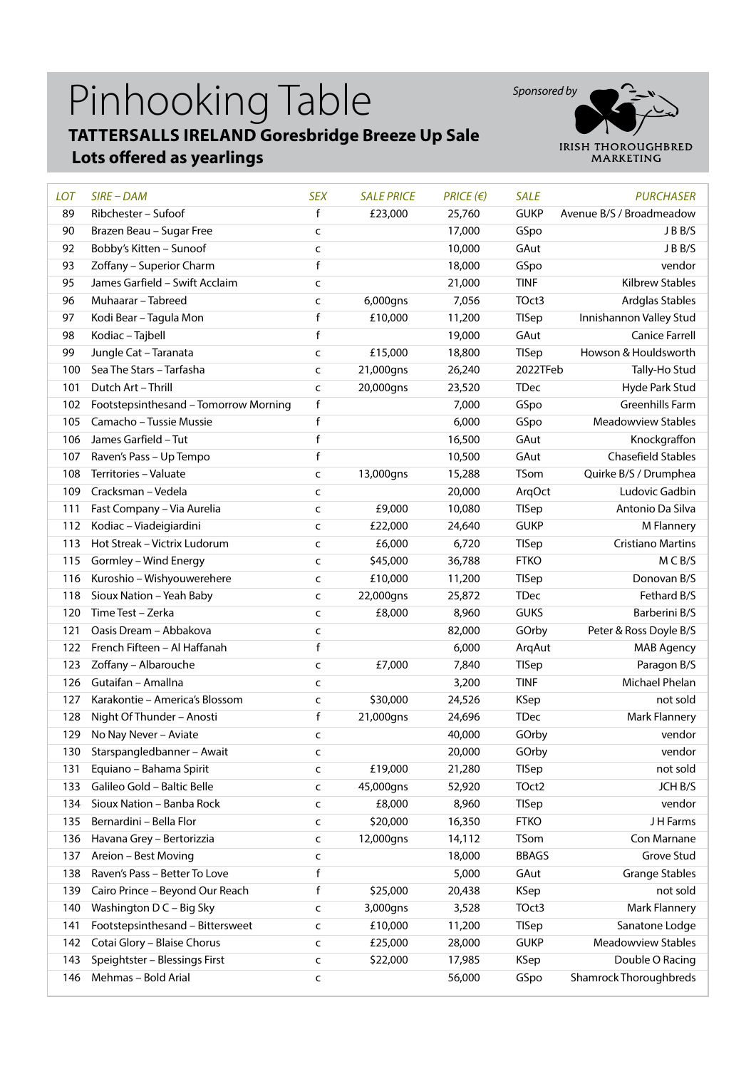## Pinhooking Table **TATTERSALLS IRELAND Goresbridge Breeze Up Sale**

#### **Lots offered as yearlings**



| <b>LOT</b> | $SIRE$ - DAM                          | <b>SEX</b>   | <b>SALE PRICE</b> | $PRICE$ ( $\varepsilon$ ) | <b>SALE</b>  | <b>PURCHASER</b>              |
|------------|---------------------------------------|--------------|-------------------|---------------------------|--------------|-------------------------------|
| 89         | Ribchester - Sufoof                   | f            | £23,000           | 25,760                    | <b>GUKP</b>  | Avenue B/S / Broadmeadow      |
| 90         | Brazen Beau - Sugar Free              | C            |                   | 17,000                    | GSpo         | JBB/S                         |
| 92         | Bobby's Kitten - Sunoof               | $\mathsf{C}$ |                   | 10,000                    | GAut         | J B B/S                       |
| 93         | Zoffany - Superior Charm              | f            |                   | 18,000                    | GSpo         | vendor                        |
| 95         | James Garfield - Swift Acclaim        | $\mathsf{C}$ |                   | 21,000                    | <b>TINF</b>  | <b>Kilbrew Stables</b>        |
| 96         | Muhaarar - Tabreed                    | C            | 6,000gns          | 7,056                     | TOct3        | Ardglas Stables               |
| 97         | Kodi Bear - Tagula Mon                | $\mathsf f$  | £10,000           | 11,200                    | TISep        | Innishannon Valley Stud       |
| 98         | Kodiac - Tajbell                      | $\mathsf f$  |                   | 19,000                    | GAut         | <b>Canice Farrell</b>         |
| 99         | Jungle Cat - Taranata                 | $\mathsf{C}$ | £15,000           | 18,800                    | TISep        | Howson & Houldsworth          |
| 100        | Sea The Stars - Tarfasha              | $\mathsf{C}$ | 21,000gns         | 26,240                    | 2022TFeb     | Tally-Ho Stud                 |
| 101        | Dutch Art - Thrill                    | C            | 20,000gns         | 23,520                    | <b>TDec</b>  | Hyde Park Stud                |
| 102        | Footstepsinthesand - Tomorrow Morning | f            |                   | 7,000                     | GSpo         | Greenhills Farm               |
| 105        | Camacho - Tussie Mussie               | f            |                   | 6,000                     | GSpo         | <b>Meadowview Stables</b>     |
| 106        | James Garfield - Tut                  | $\mathsf f$  |                   | 16,500                    | GAut         | Knockgraffon                  |
| 107        | Raven's Pass - Up Tempo               | f            |                   | 10,500                    | GAut         | <b>Chasefield Stables</b>     |
| 108        | Territories - Valuate                 | C            | 13,000gns         | 15,288                    | TSom         | Quirke B/S / Drumphea         |
| 109        | Cracksman - Vedela                    | C            |                   | 20,000                    | ArqOct       | Ludovic Gadbin                |
| 111        | Fast Company - Via Aurelia            | $\mathsf{C}$ | £9,000            | 10,080                    | <b>TISep</b> | Antonio Da Silva              |
| 112        | Kodiac - Viadeigiardini               | C            | £22,000           | 24,640                    | <b>GUKP</b>  | M Flannery                    |
| 113        | Hot Streak - Victrix Ludorum          | C            | £6,000            | 6,720                     | TISep        | <b>Cristiano Martins</b>      |
| 115        | Gormley - Wind Energy                 | C            | \$45,000          | 36,788                    | <b>FTKO</b>  | MCB/S                         |
| 116        | Kuroshio - Wishyouwerehere            | $\mathsf{C}$ | £10,000           | 11,200                    | <b>TISep</b> | Donovan B/S                   |
| 118        | Sioux Nation - Yeah Baby              | $\mathsf{C}$ | 22,000gns         | 25,872                    | <b>TDec</b>  | Fethard B/S                   |
| 120        | Time Test - Zerka                     | $\mathsf{C}$ | £8,000            | 8,960                     | <b>GUKS</b>  | Barberini B/S                 |
| 121        | Oasis Dream - Abbakova                | $\mathsf{C}$ |                   | 82,000                    | GOrby        | Peter & Ross Doyle B/S        |
| 122        | French Fifteen - Al Haffanah          | f            |                   | 6,000                     | ArqAut       | <b>MAB Agency</b>             |
| 123        | Zoffany - Albarouche                  | C            | £7,000            | 7,840                     | <b>TISep</b> | Paragon B/S                   |
| 126        | Gutaifan - Amallna                    | $\mathsf{C}$ |                   | 3,200                     | <b>TINF</b>  | Michael Phelan                |
| 127        | Karakontie - America's Blossom        | $\mathsf{C}$ | \$30,000          | 24,526                    | <b>KSep</b>  | not sold                      |
| 128        | Night Of Thunder - Anosti             | f            | 21,000gns         | 24,696                    | <b>TDec</b>  | Mark Flannery                 |
| 129        | No Nay Never - Aviate                 | C            |                   | 40,000                    | GOrby        | vendor                        |
| 130        | Starspangledbanner - Await            | c            |                   | 20,000                    | GOrby        | vendor                        |
| 131        | Equiano - Bahama Spirit               | c            | £19,000           | 21,280                    | <b>TISep</b> | not sold                      |
| 133        | Galileo Gold - Baltic Belle           | C            | 45,000gns         | 52,920                    | TOct2        | JCH B/S                       |
| 134        | Sioux Nation - Banba Rock             | C            | £8,000            | 8,960                     | TISep        | vendor                        |
| 135        | Bernardini - Bella Flor               | C            | \$20,000          | 16,350                    | <b>FTKO</b>  | JH Farms                      |
| 136        | Havana Grey - Bertorizzia             | C            | 12,000gns         | 14,112                    | TSom         | Con Marnane                   |
| 137        | Areion - Best Moving                  | C            |                   | 18,000                    | <b>BBAGS</b> | Grove Stud                    |
| 138        | Raven's Pass - Better To Love         | f            |                   | 5,000                     | GAut         | <b>Grange Stables</b>         |
| 139        | Cairo Prince - Beyond Our Reach       | f            | \$25,000          | 20,438                    | <b>KSep</b>  | not sold                      |
| 140        | Washington D C - Big Sky              | C            | 3,000gns          | 3,528                     | TOct3        | <b>Mark Flannery</b>          |
| 141        | Footstepsinthesand - Bittersweet      | C            | £10,000           | 11,200                    | TISep        | Sanatone Lodge                |
| 142        | Cotai Glory - Blaise Chorus           | C            | £25,000           | 28,000                    | <b>GUKP</b>  | Meadowview Stables            |
| 143        | Speightster - Blessings First         | C            | \$22,000          | 17,985                    | <b>KSep</b>  | Double O Racing               |
| 146        | Mehmas - Bold Arial                   | C            |                   | 56,000                    | GSpo         | <b>Shamrock Thoroughbreds</b> |